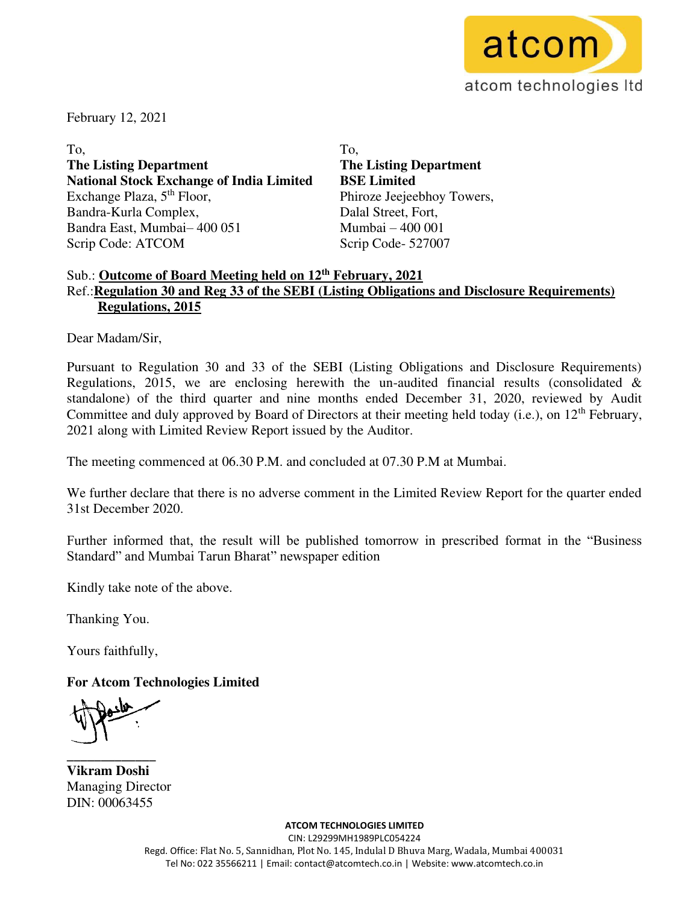

February 12, 2021

To, **The Listing Department National Stock Exchange of India Limited**  Exchange Plaza,  $5<sup>th</sup>$  Floor, Bandra-Kurla Complex, Bandra East, Mumbai– 400 051 Scrip Code: ATCOM

To, **The Listing Department BSE Limited**  Phiroze Jeejeebhoy Towers, Dalal Street, Fort, Mumbai – 400 001 Scrip Code- 527007

## Sub.: **Outcome of Board Meeting held on 12th February, 2021**  Ref.:**Regulation 30 and Reg 33 of the SEBI (Listing Obligations and Disclosure Requirements) Regulations, 2015**

Dear Madam/Sir,

Pursuant to Regulation 30 and 33 of the SEBI (Listing Obligations and Disclosure Requirements) Regulations, 2015, we are enclosing herewith the un-audited financial results (consolidated  $\&$ standalone) of the third quarter and nine months ended December 31, 2020, reviewed by Audit Committee and duly approved by Board of Directors at their meeting held today (i.e.), on 12<sup>th</sup> February, 2021 along with Limited Review Report issued by the Auditor.

The meeting commenced at 06.30 P.M. and concluded at 07.30 P.M at Mumbai.

We further declare that there is no adverse comment in the Limited Review Report for the quarter ended 31st December 2020.

Further informed that, the result will be published tomorrow in prescribed format in the "Business Standard" and Mumbai Tarun Bharat" newspaper edition

Kindly take note of the above.

Thanking You.

Yours faithfully,

**For Atcom Technologies Limited** 

**\_\_\_\_\_\_\_\_\_\_\_\_\_ Vikram Doshi**  Managing Director DIN: 00063455

> **ATCOM TECHNOLOGIES LIMITED**  CIN: L29299MH1989PLC054224 Regd. Office: Flat No. 5, Sannidhan, Plot No. 145, Indulal D Bhuva Marg, Wadala, Mumbai 400031 Tel No: 022 35566211 | Email: contact@atcomtech.co.in | Website: www.atcomtech.co.in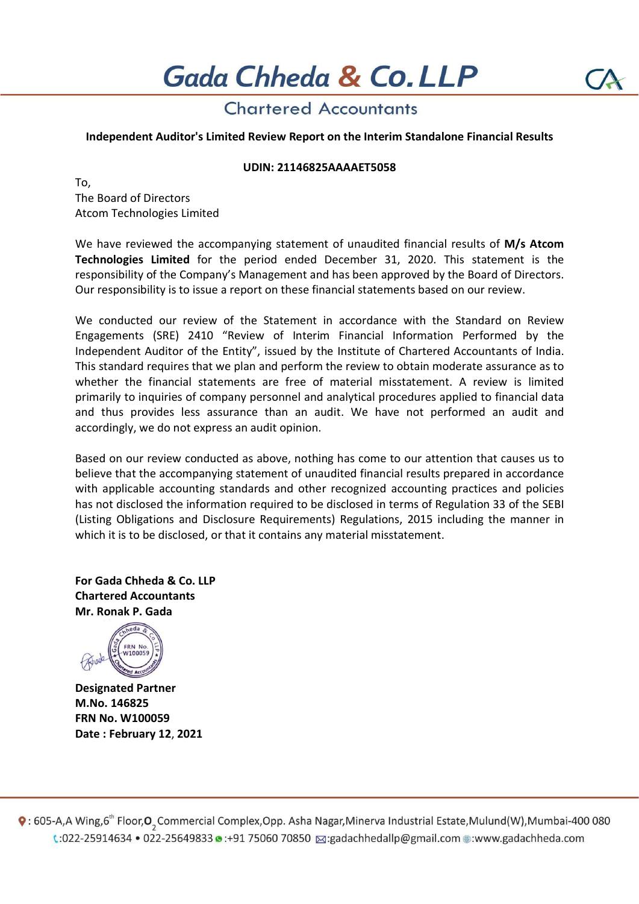# **Chartered Accountants**

## Independent Auditor's Limited Review Report on the Interim Standalone Financial Results

### UDIN: 21146825AAAAET5058

To, The Board of Directors Atcom Technologies Limited

We have reviewed the accompanying statement of unaudited financial results of M/s Atcom Technologies Limited for the period ended December 31, 2020. This statement is the responsibility of the Company's Management and has been approved by the Board of Directors. Our responsibility is to issue a report on these financial statements based on our review.

We conducted our review of the Statement in accordance with the Standard on Review Engagements (SRE) 2410 "Review of Interim Financial Information Performed by the Independent Auditor of the Entity", issued by the Institute of Chartered Accountants of India. This standard requires that we plan and perform the review to obtain moderate assurance as to whether the financial statements are free of material misstatement. A review is limited primarily to inquiries of company personnel and analytical procedures applied to financial data and thus provides less assurance than an audit. We have not performed an audit and accordingly, we do not express an audit opinion.

Based on our review conducted as above, nothing has come to our attention that causes us to believe that the accompanying statement of unaudited financial results prepared in accordance with applicable accounting standards and other recognized accounting practices and policies has not disclosed the information required to be disclosed in terms of Regulation 33 of the SEBI (Listing Obligations and Disclosure Requirements) Regulations, 2015 including the manner in which it is to be disclosed, or that it contains any material misstatement.

For Gada Chheda & Co. LLP Chartered Accountants Mr. Ronak P. Gada



Designated Partner M.No. 146825 FRN No. W100059 Date : February 12, 2021

 $\bullet$ : 605-A,A Wing,6<sup>th</sup> Floor, O<sub>2</sub> Commercial Complex, Opp. Asha Nagar, Minerva Industrial Estate, Mulund(W), Mumbai-400 080 t:022-25914634 • 022-25649833 • :+91 75060 70850 a:gadachhedallp@gmail.com .:www.gadachheda.com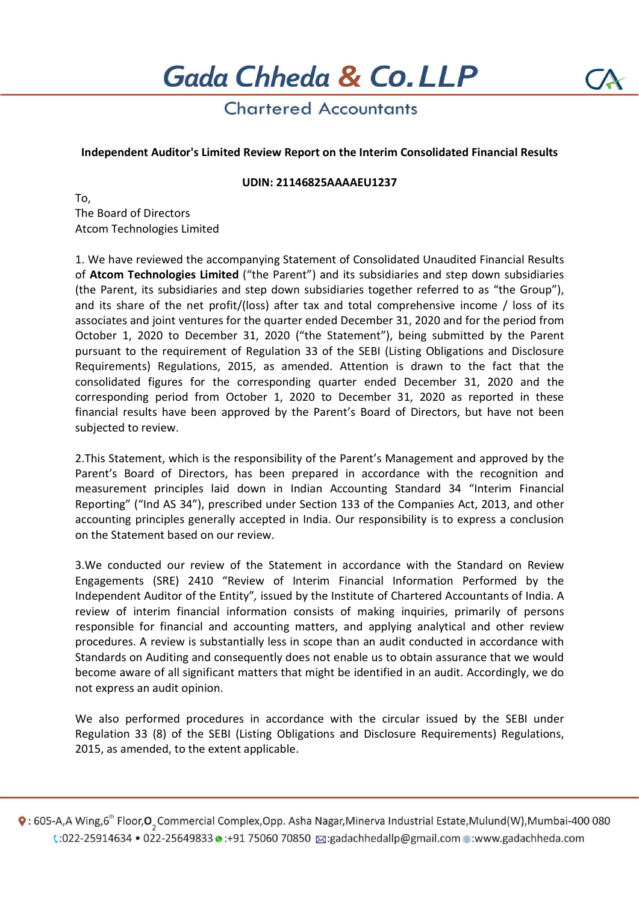Gada Chheda & Co. LLP

# **Chartered Accountants**

## Independent Auditor's Limited Review Report on the Interim Consolidated Financial Results

### UDIN: 21146825AAAAEU1237

To, The Board of Directors Atcom Technologies Limited

1. We have reviewed the accompanying Statement of Consolidated Unaudited Financial Results of Atcom Technologies Limited ("the Parent") and its subsidiaries and step down subsidiaries (the Parent, its subsidiaries and step down subsidiaries together referred to as "the Group"), and its share of the net profit/(loss) after tax and total comprehensive income / loss of its associates and joint ventures for the quarter ended December 31, 2020 and for the period from October 1, 2020 to December 31, 2020 ("the Statement"), being submitted by the Parent pursuant to the requirement of Regulation 33 of the SEBI (Listing Obligations and Disclosure Requirements) Regulations, 2015, as amended. Attention is drawn to the fact that the consolidated figures for the corresponding quarter ended December 31, 2020 and the corresponding period from October 1, 2020 to December 31, 2020 as reported in these financial results have been approved by the Parent's Board of Directors, but have not been subjected to review.

2.This Statement, which is the responsibility of the Parent's Management and approved by the Parent's Board of Directors, has been prepared in accordance with the recognition and measurement principles laid down in Indian Accounting Standard 34 "Interim Financial Reporting" ("Ind AS 34"), prescribed under Section 133 of the Companies Act, 2013, and other accounting principles generally accepted in India. Our responsibility is to express a conclusion on the Statement based on our review.

3.We conducted our review of the Statement in accordance with the Standard on Review Engagements (SRE) 2410 "Review of Interim Financial Information Performed by the Independent Auditor of the Entity", issued by the Institute of Chartered Accountants of India. A review of interim financial information consists of making inquiries, primarily of persons responsible for financial and accounting matters, and applying analytical and other review procedures. A review is substantially less in scope than an audit conducted in accordance with Standards on Auditing and consequently does not enable us to obtain assurance that we would become aware of all significant matters that might be identified in an audit. Accordingly, we do not express an audit opinion.

We also performed procedures in accordance with the circular issued by the SEBI under Regulation 33 (8) of the SEBI (Listing Obligations and Disclosure Requirements) Regulations, 2015, as amended, to the extent applicable.

 $\bullet$ : 605-A,A Wing,6<sup>th</sup> Floor, O<sub>2</sub> Commercial Complex, Opp. Asha Nagar, Minerva Industrial Estate, Mulund(W), Mumbai-400 080 t:022-25914634 • 022-25649833 • :+91 75060 70850 a:gadachhedallp@gmail.com ·: www.gadachheda.com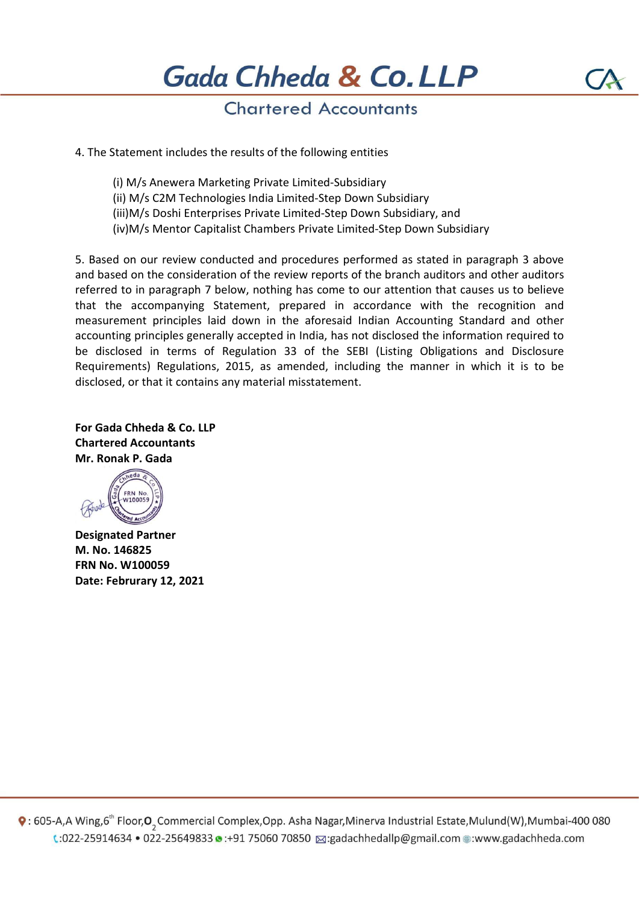# **Chartered Accountants**

4. The Statement includes the results of the following entities

(i) M/s Anewera Marketing Private Limited-Subsidiary (ii) M/s C2M Technologies India Limited-Step Down Subsidiary (iii)M/s Doshi Enterprises Private Limited-Step Down Subsidiary, and (iv)M/s Mentor Capitalist Chambers Private Limited-Step Down Subsidiary

5. Based on our review conducted and procedures performed as stated in paragraph 3 above and based on the consideration of the review reports of the branch auditors and other auditors referred to in paragraph 7 below, nothing has come to our attention that causes us to believe that the accompanying Statement, prepared in accordance with the recognition and measurement principles laid down in the aforesaid Indian Accounting Standard and other accounting principles generally accepted in India, has not disclosed the information required to be disclosed in terms of Regulation 33 of the SEBI (Listing Obligations and Disclosure Requirements) Regulations, 2015, as amended, including the manner in which it is to be disclosed, or that it contains any material misstatement.

For Gada Chheda & Co. LLP Chartered Accountants Mr. Ronak P. Gada



Designated Partner M. No. 146825 FRN No. W100059 Date: Februrary 12, 2021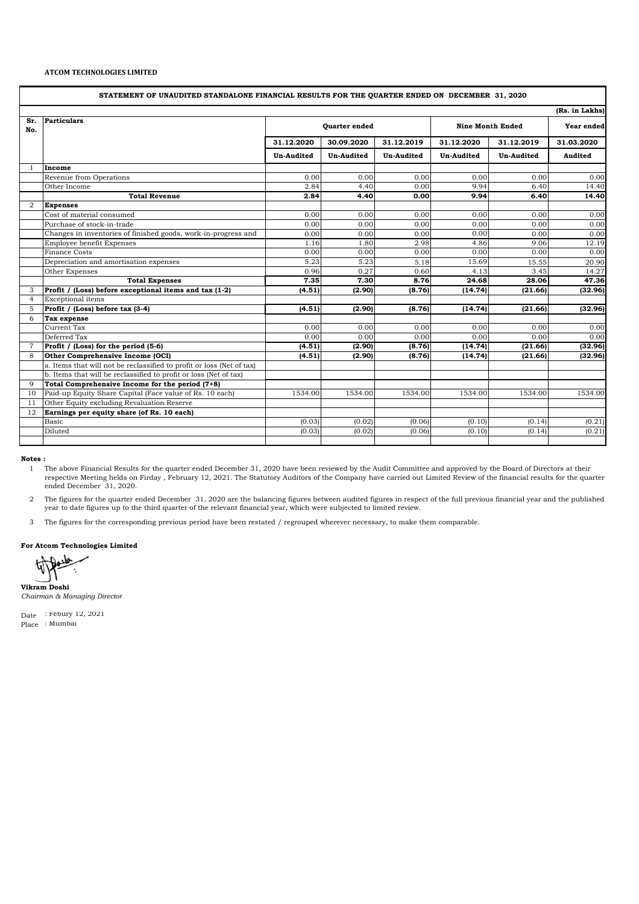#### **ATCOM TECHNOLOGIES LIMITED**

| STATEMENT OF UNAUDITED STANDALONE FINANCIAL RESULTS FOR THE QUARTER ENDED ON DECEMBER 31, 2020 |                                                                       |                      |                   |                   |                         |                   |            |  |  |  |  |  |
|------------------------------------------------------------------------------------------------|-----------------------------------------------------------------------|----------------------|-------------------|-------------------|-------------------------|-------------------|------------|--|--|--|--|--|
| (Rs. in Lakhs)                                                                                 |                                                                       |                      |                   |                   |                         |                   |            |  |  |  |  |  |
| Sr.<br>No.                                                                                     | <b>Particulars</b>                                                    | <b>Quarter</b> ended |                   |                   | <b>Nine Month Ended</b> |                   | Year ended |  |  |  |  |  |
|                                                                                                |                                                                       | 31.12.2020           | 30.09.2020        | 31.12.2019        | 31.12.2020              | 31.12.2019        | 31.03.2020 |  |  |  |  |  |
|                                                                                                |                                                                       | <b>Un-Audited</b>    | <b>Un-Audited</b> | <b>Un-Audited</b> | <b>Un-Audited</b>       | <b>Un-Audited</b> | Audited    |  |  |  |  |  |
| $\mathbf{1}$                                                                                   | Income                                                                |                      |                   |                   |                         |                   |            |  |  |  |  |  |
|                                                                                                | Revenue from Operations                                               | 0.00                 | 0.00              | 0.00              | 0.00                    | 0.00              | 0.00       |  |  |  |  |  |
|                                                                                                | Other Income                                                          | 2.84                 | 4.40              | 0.00              | 9.94                    | 6.40              | 14.40      |  |  |  |  |  |
|                                                                                                | <b>Total Revenue</b>                                                  | 2.84                 | 4.40              | 0.00              | 9.94                    | 6.40              | 14.40      |  |  |  |  |  |
| 2                                                                                              | <b>Expenses</b>                                                       |                      |                   |                   |                         |                   |            |  |  |  |  |  |
|                                                                                                | Cost of material consumed                                             | 0.00                 | 0.00              | 0.00              | 0.00                    | 0.00              | 0.00       |  |  |  |  |  |
|                                                                                                | Purchase of stock-in-trade                                            | 0.00                 | 0.00              | 0.00              | 0.00                    | 0.00              | 0.00       |  |  |  |  |  |
|                                                                                                | Changes in inventories of finished goods, work-in-progress and        | 0.00                 | 0.00              | 0.00              | 0.00                    | 0.00              | 0.00       |  |  |  |  |  |
|                                                                                                | Employee benefit Expenses                                             | 1.16                 | 1.80              | 2.98              | 4.86                    | 9.06              | 12.19      |  |  |  |  |  |
|                                                                                                | <b>Finance Costs</b>                                                  | 0.00                 | 0.00              | 0.00              | 0.00                    | 0.00              | 0.00       |  |  |  |  |  |
|                                                                                                | Depreciation and amortisation expenses                                | 5.23                 | 5.23              | 5.18              | 15.69                   | 15.55             | 20.90      |  |  |  |  |  |
|                                                                                                | Other Expenses                                                        | 0.96                 | 0.27              | 0.60              | 4.13                    | 3.45              | 14.27      |  |  |  |  |  |
|                                                                                                | <b>Total Expenses</b>                                                 | 7.35                 | 7.30              | 8.76              | 24.68                   | 28.06             | 47.36      |  |  |  |  |  |
| 3                                                                                              | Profit / (Loss) before exceptional items and tax (1-2)                | (4.51)               | (2.90)            | (8.76)            | (14.74)                 | (21.66)           | (32.96)    |  |  |  |  |  |
| $\overline{4}$                                                                                 | <b>Exceptional</b> items                                              |                      |                   |                   |                         |                   |            |  |  |  |  |  |
| 5                                                                                              | Profit / (Loss) before tax (3-4)                                      | (4.51)               | (2.90)            | (8.76)            | (14.74)                 | (21.66)           | (32.96)    |  |  |  |  |  |
| 6                                                                                              | Tax expense                                                           |                      |                   |                   |                         |                   |            |  |  |  |  |  |
|                                                                                                | Current Tax                                                           | 0.00                 | 0.00              | 0.00              | 0.00                    | 0.00              | 0.00       |  |  |  |  |  |
|                                                                                                | Deferred Tax                                                          | 0.00                 | 0.00              | 0.00              | 0.00                    | 0.00              | 0.00       |  |  |  |  |  |
| $\overline{7}$                                                                                 | Profit / (Loss) for the period (5-6)                                  | (4.51)               | (2.90)            | (8.76)            | (14.74)                 | (21.66)           | (32.96)    |  |  |  |  |  |
| 8                                                                                              | Other Comprehensive Income (OCI)                                      | (4.51)               | (2.90)            | (8.76)            | (14.74)                 | (21.66)           | (32.96)    |  |  |  |  |  |
|                                                                                                | a. Items that will not be reclassified to profit or loss (Net of tax) |                      |                   |                   |                         |                   |            |  |  |  |  |  |
|                                                                                                | b. Items that will be reclassified to profit or loss (Net of tax)     |                      |                   |                   |                         |                   |            |  |  |  |  |  |
| 9                                                                                              | Total Comprehensive Income for the period (7+8)                       |                      |                   |                   |                         |                   |            |  |  |  |  |  |
| 10                                                                                             | Paid-up Equity Share Capital (Face value of Rs. 10 each)              | 1534.00              | 1534.00           | 1534.00           | 1534.00                 | 1534.00           | 1534.00    |  |  |  |  |  |
| 11                                                                                             | Other Equity excluding Revaluation Reserve                            |                      |                   |                   |                         |                   |            |  |  |  |  |  |
| 12                                                                                             | Earnings per equity share (of Rs. 10 each)                            |                      |                   |                   |                         |                   |            |  |  |  |  |  |
|                                                                                                | Basic                                                                 | (0.03)               | (0.02)            | (0.06)            | (0.10)                  | (0.14)            | (0.21)     |  |  |  |  |  |
|                                                                                                | Diluted                                                               | (0.03)               | (0.02)            | (0.06)            | (0.10)                  | (0.14)            | (0.21)     |  |  |  |  |  |
|                                                                                                |                                                                       |                      |                   |                   |                         |                   |            |  |  |  |  |  |

**Notes :**

1 The above Financial Results for the quarter ended December 31, 2020 have been reviewed by the Audit Committee and approved by the Board of Directors at their respective Meeting helds on Firday , February 12, 2021. The Statutory Auditors of the Company have carried out Limited Review of the financial results for the quarter ended December 31, 2020.

2 The figures for the quarter ended December 31, 2020 are the balancing figures between audited figures in respect of the full previous financial year and the published year to date figures up to the third quarter of the relevant financial year, which were subjected to limited review.

3 The figures for the corresponding previous period have been restated / regrouped wherever necessary, to make them comparable.

**For Atcom Technologies Limited** 

**Vikram Doshi** *Chairman & Managing Director*

Date : Febury 12, 2021 Place : Mumbai